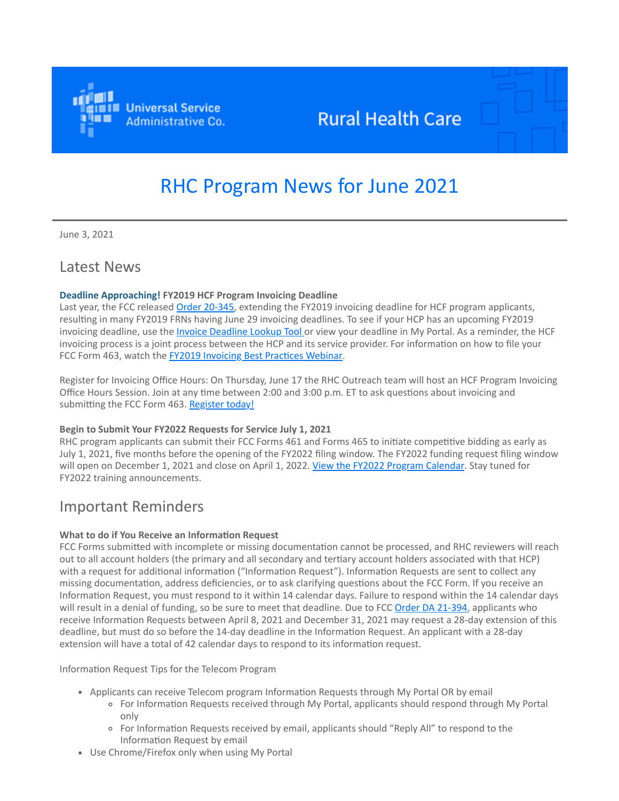

## **Rural Health Care**

# RHC Program News for June 2021

June 3, 2021

### Latest News

### **Deadline Approaching! FY2019 HCF Program Invoicing Deadline**

Last year, the FCC released [Order 20-345](https://click.outreach.usac.org/?qs=010154031c3d30bf084e01992e8156ed5ebeb015e61a476f96134404f96efc4fb1df12347b61461d8686a460d4bfdf1fbaf0a1cdd73a5992), extending the FY2019 invoicing deadline for HCF program applicants, resulting in many FY2019 FRNs having June 29 invoicing deadlines. To see if your HCP has an upcoming FY2019 invoicing deadline, use the *Invoice Deadline Lookup Tool* or view your deadline in My Portal. As a reminder, the HCF invoicing process is a joint process between the HCP and its service provider. For information on how to file your FCC Form 463, watch the **FY2019 Invoicing Best Practices Webinar**.

Register for Invoicing Office Hours: On Thursday, June 17 the RHC Outreach team will host an HCF Program Invoicing Office Hours Session. Join at any time between 2:00 and 3:00 p.m. ET to ask questions about invoicing and submitting the FCC Form 463. [Register today!](https://click.outreach.usac.org/?qs=010154031c3d30bfed4ea9f6c2736ed38f2fe4424669443c2c78338986a5d2f6ef608b7e032e5a9ecf10281892d3afc819f4c6086b275230)

### **Begin to Submit Your FY2022 Requests for Service July 1, 2021**

RHC program applicants can submit their FCC Forms 461 and Forms 465 to initiate competitive bidding as early as July 1, 2021, five months before the opening of the FY2022 filing window. The FY2022 funding request filing window will open on December 1, 2021 and close on April 1, 2022. [View the FY2022 Program Calendar.](https://click.outreach.usac.org/?qs=010154031c3d30bf502225ec99db2ced31be36ce6053750cd14d8b697d44d6f59b5e0fc940ea4637439b4b5604950903ca3d65c0eee5ea42) Stay tuned for FY2022 training announcements.

### Important Reminders

### **What to do if You Receive an Information Request**

FCC Forms submitted with incomplete or missing documentation cannot be processed, and RHC reviewers will reach out to all account holders (the primary and all secondary and tertiary account holders associated with that HCP) with a request for additional information ("Information Request"). Information Requests are sent to collect any missing documentation, address deficiencies, or to ask clarifying questions about the FCC Form. If you receive an Information Request, you must respond to it within 14 calendar days. Failure to respond within the 14 calendar days will result in a denial of funding, so be sure to meet that deadline. Due to FCC [Order DA 21-394](https://click.outreach.usac.org/?qs=010154031c3d30bf0156c9e5e23a526a3213401652acb54e2fe8c63b8cbe0cf6a75a5f492de54734587b4b0ae4bd58849bb656cf000f5fc0), applicants who receive Information Requests between April 8, 2021 and December 31, 2021 may request a 28-day extension of this deadline, but must do so before the 14-day deadline in the Information Request. An applicant with a 28-day extension will have a total of 42 calendar days to respond to its information request.

Information Request Tips for the Telecom Program

- Applicants can receive Telecom program Information Requests through My Portal OR by email
	- For Information Requests received through My Portal, applicants should respond through My Portal only
	- For Information Requests received by email, applicants should "Reply All" to respond to the Information Request by email
- Use Chrome/Firefox only when using My Portal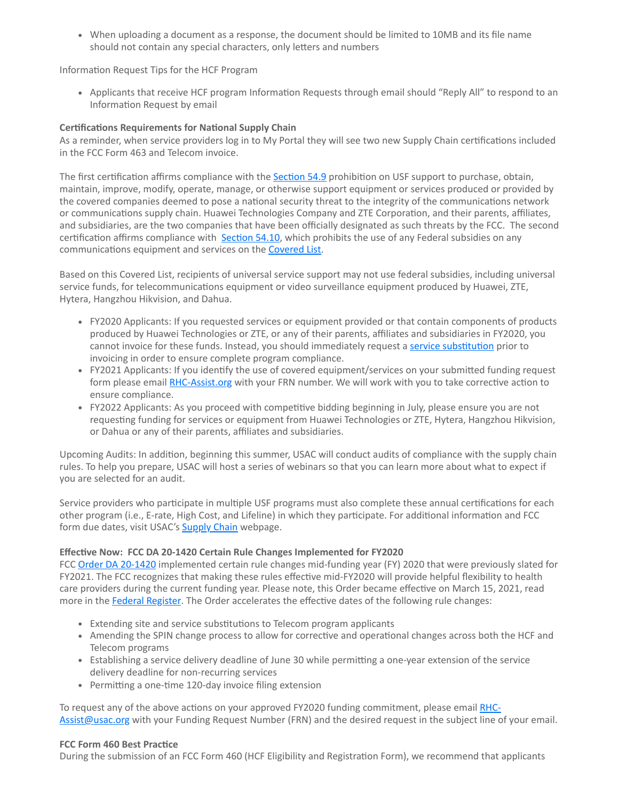When uploading a document as a response, the document should be limited to 10MB and its file name should not contain any special characters, only letters and numbers

Information Request Tips for the HCF Program

Applicants that receive HCF program Information Requests through email should "Reply All" to respond to an Information Request by email

### **Certifications Requirements for National Supply Chain**

As a reminder, when service providers log in to My Portal they will see two new Supply Chain certifications included in the FCC Form 463 and Telecom invoice.

The first certification affirms compliance with the **Section 54.9** prohibition on USF support to purchase, obtain, maintain, improve, modify, operate, manage, or otherwise support equipment or services produced or provided by the covered companies deemed to pose a national security threat to the integrity of the communications network or communications supply chain. Huawei Technologies Company and ZTE Corporation, and their parents, affiliates, and subsidiaries, are the two companies that have been officially designated as such threats by the FCC. The second certification affirms compliance with [Section 54.10](https://click.outreach.usac.org/?qs=010154031c3d30bf0f6108c3d2765d4fcc542ec3f41c024505f50b7f03fdc66443e4b988179518833999694527a9506cb6da7b55116eeb96), which prohibits the use of any Federal subsidies on any communications equipment and services on the **Covered List**.

Based on this Covered List, recipients of universal service support may not use federal subsidies, including universal service funds, for telecommunications equipment or video surveillance equipment produced by Huawei, ZTE, Hytera, Hangzhou Hikvision, and Dahua.

- FY2020 Applicants: If you requested services or equipment provided or that contain components of products produced by Huawei Technologies or ZTE, or any of their parents, affiliates and subsidiaries in FY2020, you cannot invoice for these funds. Instead, you should immediately request a [service substitution](https://click.outreach.usac.org/?qs=010154031c3d30bf4595c7e11fd44577db74e4cf76c13bf5b9931757d7a67bb5cc0c2b262b67364bba717045f13dffea792e4f2b19af4a5f) prior to invoicing in order to ensure complete program compliance.
- FY2021 Applicants: If you identify the use of covered equipment/services on your submitted funding request form please email **[RHC-Assist.org](mailto:RHC-Assist.org?subject=)** with your FRN number. We will work with you to take corrective action to ensure compliance.
- FY2022 Applicants: As you proceed with competitive bidding beginning in July, please ensure you are not requesting funding for services or equipment from Huawei Technologies or ZTE, Hytera, Hangzhou Hikvision, or Dahua or any of their parents, affiliates and subsidiaries.

Upcoming Audits: In addition, beginning this summer, USAC will conduct audits of compliance with the supply chain rules. To help you prepare, USAC will host a series of webinars so that you can learn more about what to expect if you are selected for an audit.

Service providers who participate in multiple USF programs must also complete these annual certifications for each other program (i.e., E-rate, High Cost, and Lifeline) in which they participate. For additional information and FCC form due dates, visit USAC's **Supply Chain** webpage.

### **Effective Now: FCC DA 20-1420 Certain Rule Changes Implemented for FY2020**

FCC [Order DA 20-1420](https://click.outreach.usac.org/?qs=010154031c3d30bfdb1cd5a9dc1f14df4755a2c7c79a32c54350f5a6a74cbc12fbc8ea63740eda2f4bf9c03700e13e4f8e7aa2616320a4bf) implemented certain rule changes mid-funding year (FY) 2020 that were previously slated for FY2021. The FCC recognizes that making these rules effective mid-FY2020 will provide helpful flexibility to health care providers during the current funding year. Please note, this Order became effective on March 15, 2021, read more in the [Federal Register](https://click.outreach.usac.org/?qs=010154031c3d30bf81e4754a0f1d0a9230d43acd8c2db074792d694432c453d6b43547788461d48daf5bd25fb6d5530d30044a7dee16835c). The Order accelerates the effective dates of the following rule changes:

- Extending site and service substitutions to Telecom program applicants
- Amending the SPIN change process to allow for corrective and operational changes across both the HCF and Telecom programs
- Establishing a service delivery deadline of June 30 while permitting a one-year extension of the service delivery deadline for non-recurring services
- Permitting a one-time 120-day invoice filing extension

[To request any of the above actions on your approved FY2020 funding commitment, please email RHC-](mailto:RHC-Assist@usac.org?subject=)Assist@usac.org with your Funding Request Number (FRN) and the desired request in the subject line of your email.

### **FCC Form 460 Best Practice**

During the submission of an FCC Form 460 (HCF Eligibility and Registration Form), we recommend that applicants